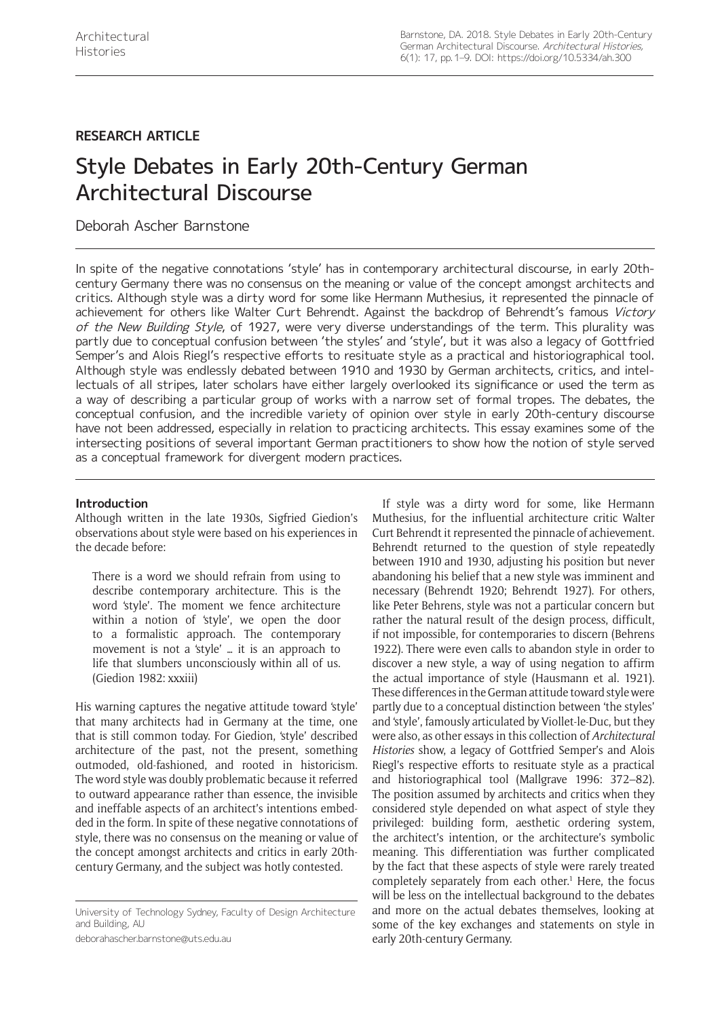# **RESEARCH ARTICLE**

# Style Debates in Early 20th-Century German Architectural Discourse

## Deborah Ascher Barnstone

In spite of the negative connotations 'style' has in contemporary architectural discourse, in early 20thcentury Germany there was no consensus on the meaning or value of the concept amongst architects and critics. Although style was a dirty word for some like Hermann Muthesius, it represented the pinnacle of achievement for others like Walter Curt Behrendt. Against the backdrop of Behrendt's famous Victory of the New Building Style, of 1927, were very diverse understandings of the term. This plurality was partly due to conceptual confusion between 'the styles' and 'style', but it was also a legacy of Gottfried Semper's and Alois Riegl's respective efforts to resituate style as a practical and historiographical tool. Although style was endlessly debated between 1910 and 1930 by German architects, critics, and intellectuals of all stripes, later scholars have either largely overlooked its significance or used the term as a way of describing a particular group of works with a narrow set of formal tropes. The debates, the conceptual confusion, and the incredible variety of opinion over style in early 20th-century discourse have not been addressed, especially in relation to practicing architects. This essay examines some of the intersecting positions of several important German practitioners to show how the notion of style served as a conceptual framework for divergent modern practices.

## **Introduction**

Although written in the late 1930s, Sigfried Giedion's observations about style were based on his experiences in the decade before:

There is a word we should refrain from using to describe contemporary architecture. This is the word 'style'. The moment we fence architecture within a notion of 'style', we open the door to a formalistic approach. The contemporary movement is not a 'style' … it is an approach to life that slumbers unconsciously within all of us. (Giedion 1982: xxxiii)

His warning captures the negative attitude toward 'style' that many architects had in Germany at the time, one that is still common today. For Giedion, 'style' described architecture of the past, not the present, something outmoded, old-fashioned, and rooted in historicism. The word style was doubly problematic because it referred to outward appearance rather than essence, the invisible and ineffable aspects of an architect's intentions embedded in the form. In spite of these negative connotations of style, there was no consensus on the meaning or value of the concept amongst architects and critics in early 20thcentury Germany, and the subject was hotly contested.

[deborahascher.barnstone@uts.edu.au](mailto:deborahascher.barnstone@uts.edu.au)

If style was a dirty word for some, like Hermann Muthesius, for the influential architecture critic Walter Curt Behrendt it represented the pinnacle of achievement. Behrendt returned to the question of style repeatedly between 1910 and 1930, adjusting his position but never abandoning his belief that a new style was imminent and necessary (Behrendt 1920; Behrendt 1927). For others, like Peter Behrens, style was not a particular concern but rather the natural result of the design process, difficult, if not impossible, for contemporaries to discern (Behrens 1922). There were even calls to abandon style in order to discover a new style, a way of using negation to affirm the actual importance of style (Hausmann et al. 1921). These differences in the German attitude toward style were partly due to a conceptual distinction between 'the styles' and 'style', famously articulated by Viollet-le-Duc, but they were also, as other essays in this collection of *Architectural Histories* show, a legacy of Gottfried Semper's and Alois Riegl's respective efforts to resituate style as a practical and historiographical tool (Mallgrave 1996: 372–82). The position assumed by architects and critics when they considered style depended on what aspect of style they privileged: building form, aesthetic ordering system, the architect's intention, or the architecture's symbolic meaning. This differentiation was further complicated by the fact that these aspects of style were rarely treated completely separately from each other.<sup>1</sup> Here, the focus will be less on the intellectual background to the debates and more on the actual debates themselves, looking at some of the key exchanges and statements on style in early 20th-century Germany.

University of Technology Sydney, Faculty of Design Architecture and Building, AU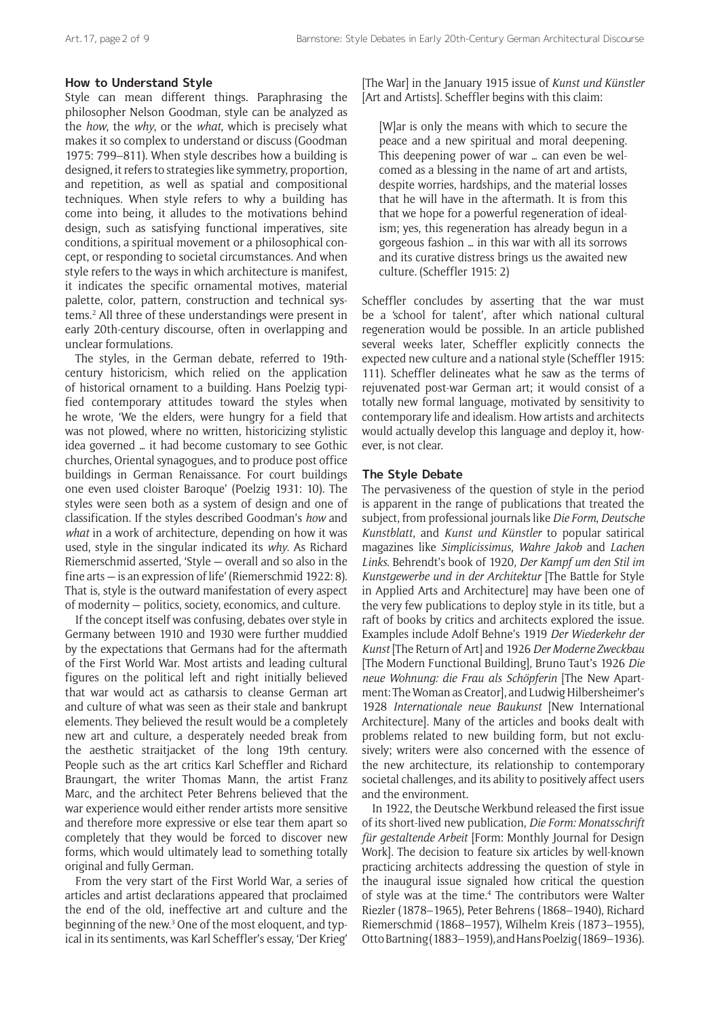## **How to Understand Style**

Style can mean different things. Paraphrasing the philosopher Nelson Goodman, style can be analyzed as the *how*, the *why*, or the *what*, which is precisely what makes it so complex to understand or discuss (Goodman 1975: 799–811). When style describes how a building is designed, it refers to strategies like symmetry, proportion, and repetition, as well as spatial and compositional techniques. When style refers to why a building has come into being, it alludes to the motivations behind design, such as satisfying functional imperatives, site conditions, a spiritual movement or a philosophical concept, or responding to societal circumstances. And when style refers to the ways in which architecture is manifest, it indicates the specific ornamental motives, material palette, color, pattern, construction and technical systems.2 All three of these understandings were present in early 20th-century discourse, often in overlapping and unclear formulations.

The styles, in the German debate, referred to 19thcentury historicism, which relied on the application of historical ornament to a building. Hans Poelzig typified contemporary attitudes toward the styles when he wrote, 'We the elders, were hungry for a field that was not plowed, where no written, historicizing stylistic idea governed … it had become customary to see Gothic churches, Oriental synagogues, and to produce post office buildings in German Renaissance. For court buildings one even used cloister Baroque' (Poelzig 1931: 10). The styles were seen both as a system of design and one of classification. If the styles described Goodman's *how* and *what* in a work of architecture, depending on how it was used, style in the singular indicated its *why*. As Richard Riemerschmid asserted, 'Style — overall and so also in the fine arts — is an expression of life' (Riemerschmid 1922: 8). That is, style is the outward manifestation of every aspect of modernity — politics, society, economics, and culture.

If the concept itself was confusing, debates over style in Germany between 1910 and 1930 were further muddied by the expectations that Germans had for the aftermath of the First World War. Most artists and leading cultural figures on the political left and right initially believed that war would act as catharsis to cleanse German art and culture of what was seen as their stale and bankrupt elements. They believed the result would be a completely new art and culture, a desperately needed break from the aesthetic straitjacket of the long 19th century. People such as the art critics Karl Scheffler and Richard Braungart, the writer Thomas Mann, the artist Franz Marc, and the architect Peter Behrens believed that the war experience would either render artists more sensitive and therefore more expressive or else tear them apart so completely that they would be forced to discover new forms, which would ultimately lead to something totally original and fully German.

From the very start of the First World War, a series of articles and artist declarations appeared that proclaimed the end of the old, ineffective art and culture and the beginning of the new.<sup>3</sup> One of the most eloquent, and typical in its sentiments, was Karl Scheffler's essay, 'Der Krieg' [The War] in the January 1915 issue of *Kunst und Künstler*  [Art and Artists]. Scheffler begins with this claim:

[W]ar is only the means with which to secure the peace and a new spiritual and moral deepening. This deepening power of war … can even be welcomed as a blessing in the name of art and artists, despite worries, hardships, and the material losses that he will have in the aftermath. It is from this that we hope for a powerful regeneration of idealism; yes, this regeneration has already begun in a gorgeous fashion … in this war with all its sorrows and its curative distress brings us the awaited new culture. (Scheffler 1915: 2)

Scheffler concludes by asserting that the war must be a 'school for talent', after which national cultural regeneration would be possible. In an article published several weeks later, Scheffler explicitly connects the expected new culture and a national style (Scheffler 1915: 111). Scheffler delineates what he saw as the terms of rejuvenated post-war German art; it would consist of a totally new formal language, motivated by sensitivity to contemporary life and idealism. How artists and architects would actually develop this language and deploy it, however, is not clear.

## **The Style Debate**

The pervasiveness of the question of style in the period is apparent in the range of publications that treated the subject, from professional journals like *Die Form*, *Deutsche Kunstblatt*, and *Kunst und Künstler* to popular satirical magazines like *Simplicissimus*, *Wahre Jakob* and *Lachen Links*. Behrendt's book of 1920, *Der Kampf um den Stil im Kunstgewerbe und in der Architektur* [The Battle for Style in Applied Arts and Architecture] may have been one of the very few publications to deploy style in its title, but a raft of books by critics and architects explored the issue. Examples include Adolf Behne's 1919 *Der Wiederkehr der Kunst* [The Return of Art] and 1926 *Der Moderne Zweckbau*  [The Modern Functional Building], Bruno Taut's 1926 *Die neue Wohnung: die Frau als Schöpferin* [The New Apartment: The Woman as Creator], and Ludwig Hilbersheimer's 1928 *Internationale neue Baukunst* [New International Architecture]. Many of the articles and books dealt with problems related to new building form, but not exclusively; writers were also concerned with the essence of the new architecture, its relationship to contemporary societal challenges, and its ability to positively affect users and the environment.

In 1922, the Deutsche Werkbund released the first issue of its short-lived new publication, *Die Form: Monatsschrift für gestaltende Arbeit* [Form: Monthly Journal for Design Work]. The decision to feature six articles by well-known practicing architects addressing the question of style in the inaugural issue signaled how critical the question of style was at the time.<sup>4</sup> The contributors were Walter Riezler (1878–1965), Peter Behrens (1868–1940), Richard Riemerschmid (1868–1957), Wilhelm Kreis (1873–1955), Otto Bartning (1883–1959), and Hans Poelzig (1869–1936).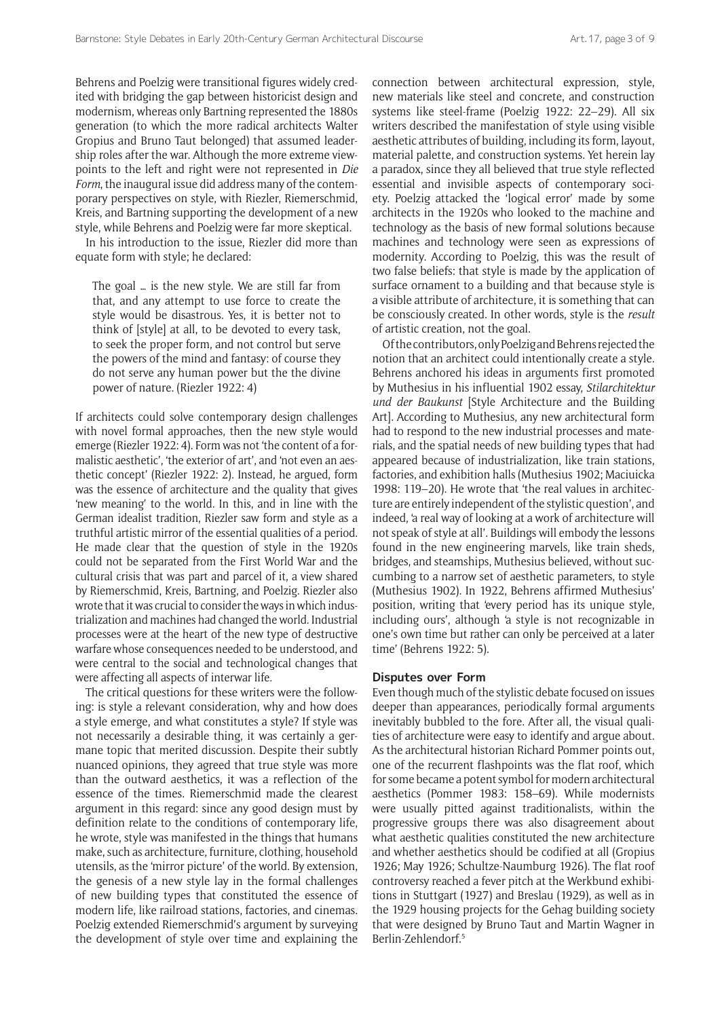Behrens and Poelzig were transitional figures widely credited with bridging the gap between historicist design and modernism, whereas only Bartning represented the 1880s generation (to which the more radical architects Walter Gropius and Bruno Taut belonged) that assumed leadership roles after the war. Although the more extreme viewpoints to the left and right were not represented in *Die Form*, the inaugural issue did address many of the contemporary perspectives on style, with Riezler, Riemerschmid, Kreis, and Bartning supporting the development of a new style, while Behrens and Poelzig were far more skeptical.

In his introduction to the issue, Riezler did more than equate form with style; he declared:

The goal … is the new style. We are still far from that, and any attempt to use force to create the style would be disastrous. Yes, it is better not to think of [style] at all, to be devoted to every task, to seek the proper form, and not control but serve the powers of the mind and fantasy: of course they do not serve any human power but the the divine power of nature. (Riezler 1922: 4)

If architects could solve contemporary design challenges with novel formal approaches, then the new style would emerge (Riezler 1922: 4). Form was not 'the content of a formalistic aesthetic', 'the exterior of art', and 'not even an aesthetic concept' (Riezler 1922: 2). Instead, he argued, form was the essence of architecture and the quality that gives 'new meaning' to the world. In this, and in line with the German idealist tradition, Riezler saw form and style as a truthful artistic mirror of the essential qualities of a period. He made clear that the question of style in the 1920s could not be separated from the First World War and the cultural crisis that was part and parcel of it, a view shared by Riemerschmid, Kreis, Bartning, and Poelzig. Riezler also wrote that it was crucial to consider the ways in which industrialization and machines had changed the world. Industrial processes were at the heart of the new type of destructive warfare whose consequences needed to be understood, and were central to the social and technological changes that were affecting all aspects of interwar life.

The critical questions for these writers were the following: is style a relevant consideration, why and how does a style emerge, and what constitutes a style? If style was not necessarily a desirable thing, it was certainly a germane topic that merited discussion. Despite their subtly nuanced opinions, they agreed that true style was more than the outward aesthetics, it was a reflection of the essence of the times. Riemerschmid made the clearest argument in this regard: since any good design must by definition relate to the conditions of contemporary life, he wrote, style was manifested in the things that humans make, such as architecture, furniture, clothing, household utensils, as the 'mirror picture' of the world. By extension, the genesis of a new style lay in the formal challenges of new building types that constituted the essence of modern life, like railroad stations, factories, and cinemas. Poelzig extended Riemerschmid's argument by surveying the development of style over time and explaining the connection between architectural expression, style, new materials like steel and concrete, and construction systems like steel-frame (Poelzig 1922: 22–29). All six writers described the manifestation of style using visible aesthetic attributes of building, including its form, layout, material palette, and construction systems. Yet herein lay a paradox, since they all believed that true style reflected essential and invisible aspects of contemporary society. Poelzig attacked the 'logical error' made by some architects in the 1920s who looked to the machine and technology as the basis of new formal solutions because machines and technology were seen as expressions of modernity. According to Poelzig, this was the result of two false beliefs: that style is made by the application of surface ornament to a building and that because style is a visible attribute of architecture, it is something that can be consciously created. In other words, style is the *result* of artistic creation, not the goal.

Of the contributors, only Poelzig and Behrens rejected the notion that an architect could intentionally create a style. Behrens anchored his ideas in arguments first promoted by Muthesius in his influential 1902 essay, *Stilarchitektur und der Baukunst* [Style Architecture and the Building Art]. According to Muthesius, any new architectural form had to respond to the new industrial processes and materials, and the spatial needs of new building types that had appeared because of industrialization, like train stations, factories, and exhibition halls (Muthesius 1902; Maciuicka 1998: 119–20). He wrote that 'the real values in architecture are entirely independent of the stylistic question', and indeed, 'a real way of looking at a work of architecture will not speak of style at all'. Buildings will embody the lessons found in the new engineering marvels, like train sheds, bridges, and steamships, Muthesius believed, without succumbing to a narrow set of aesthetic parameters, to style (Muthesius 1902). In 1922, Behrens affirmed Muthesius' position, writing that 'every period has its unique style, including ours', although 'a style is not recognizable in one's own time but rather can only be perceived at a later time' (Behrens 1922: 5).

#### **Disputes over Form**

Even though much of the stylistic debate focused on issues deeper than appearances, periodically formal arguments inevitably bubbled to the fore. After all, the visual qualities of architecture were easy to identify and argue about. As the architectural historian Richard Pommer points out, one of the recurrent flashpoints was the flat roof, which for some became a potent symbol for modern architectural aesthetics (Pommer 1983: 158–69). While modernists were usually pitted against traditionalists, within the progressive groups there was also disagreement about what aesthetic qualities constituted the new architecture and whether aesthetics should be codified at all (Gropius 1926; May 1926; Schultze-Naumburg 1926). The flat roof controversy reached a fever pitch at the Werkbund exhibitions in Stuttgart (1927) and Breslau (1929), as well as in the 1929 housing projects for the Gehag building society that were designed by Bruno Taut and Martin Wagner in Berlin-Zehlendorf.5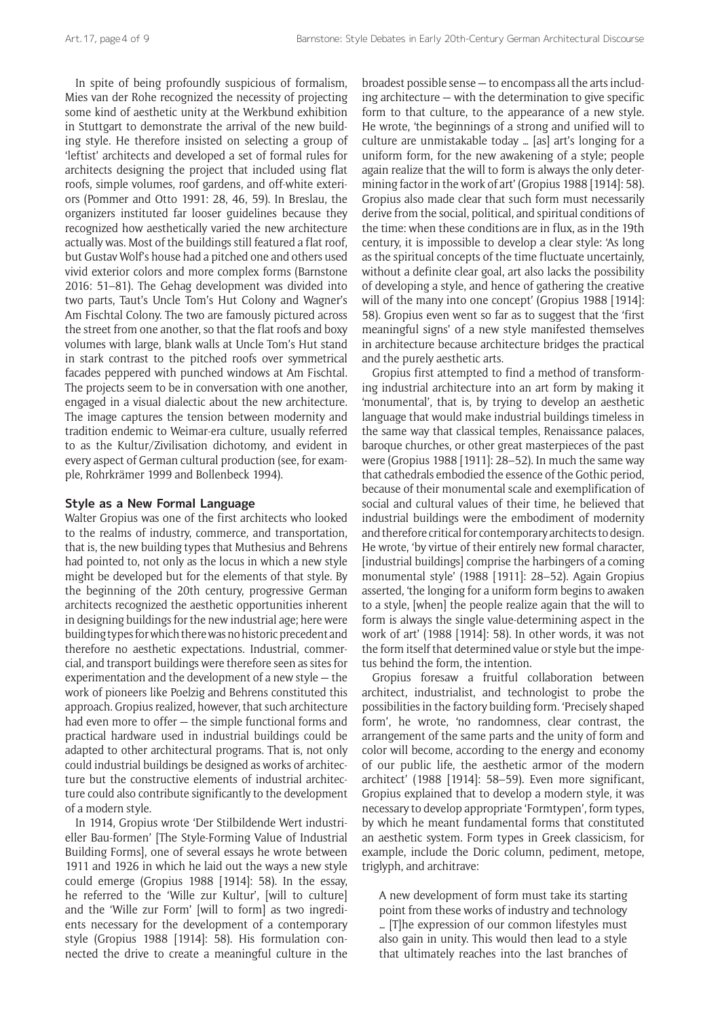In spite of being profoundly suspicious of formalism, Mies van der Rohe recognized the necessity of projecting some kind of aesthetic unity at the Werkbund exhibition in Stuttgart to demonstrate the arrival of the new building style. He therefore insisted on selecting a group of 'leftist' architects and developed a set of formal rules for architects designing the project that included using flat roofs, simple volumes, roof gardens, and off-white exteriors (Pommer and Otto 1991: 28, 46, 59). In Breslau, the organizers instituted far looser guidelines because they recognized how aesthetically varied the new architecture actually was. Most of the buildings still featured a flat roof, but Gustav Wolf's house had a pitched one and others used vivid exterior colors and more complex forms (Barnstone 2016: 51–81). The Gehag development was divided into two parts, Taut's Uncle Tom's Hut Colony and Wagner's Am Fischtal Colony. The two are famously pictured across the street from one another, so that the flat roofs and boxy volumes with large, blank walls at Uncle Tom's Hut stand in stark contrast to the pitched roofs over symmetrical facades peppered with punched windows at Am Fischtal. The projects seem to be in conversation with one another, engaged in a visual dialectic about the new architecture. The image captures the tension between modernity and tradition endemic to Weimar-era culture, usually referred to as the Kultur/Zivilisation dichotomy, and evident in every aspect of German cultural production (see, for example, Rohrkrämer 1999 and Bollenbeck 1994).

## **Style as a New Formal Language**

Walter Gropius was one of the first architects who looked to the realms of industry, commerce, and transportation, that is, the new building types that Muthesius and Behrens had pointed to, not only as the locus in which a new style might be developed but for the elements of that style. By the beginning of the 20th century, progressive German architects recognized the aesthetic opportunities inherent in designing buildings for the new industrial age; here were building types for which there was no historic precedent and therefore no aesthetic expectations. Industrial, commercial, and transport buildings were therefore seen as sites for experimentation and the development of a new style — the work of pioneers like Poelzig and Behrens constituted this approach. Gropius realized, however, that such architecture had even more to offer — the simple functional forms and practical hardware used in industrial buildings could be adapted to other architectural programs. That is, not only could industrial buildings be designed as works of architecture but the constructive elements of industrial architecture could also contribute significantly to the development of a modern style.

In 1914, Gropius wrote 'Der Stilbildende Wert industrieller Bau-formen' [The Style-Forming Value of Industrial Building Forms], one of several essays he wrote between 1911 and 1926 in which he laid out the ways a new style could emerge (Gropius 1988 [1914]: 58). In the essay, he referred to the 'Wille zur Kultur', [will to culture] and the 'Wille zur Form' [will to form] as two ingredients necessary for the development of a contemporary style (Gropius 1988 [1914]: 58). His formulation connected the drive to create a meaningful culture in the

broadest possible sense — to encompass all the arts including architecture — with the determination to give specific form to that culture, to the appearance of a new style. He wrote, 'the beginnings of a strong and unified will to culture are unmistakable today … [as] art's longing for a uniform form, for the new awakening of a style; people again realize that the will to form is always the only determining factor in the work of art' (Gropius 1988 [1914]: 58). Gropius also made clear that such form must necessarily derive from the social, political, and spiritual conditions of the time: when these conditions are in flux, as in the 19th century, it is impossible to develop a clear style: 'As long as the spiritual concepts of the time fluctuate uncertainly, without a definite clear goal, art also lacks the possibility of developing a style, and hence of gathering the creative will of the many into one concept' (Gropius 1988 [1914]: 58). Gropius even went so far as to suggest that the 'first meaningful signs' of a new style manifested themselves in architecture because architecture bridges the practical and the purely aesthetic arts.

Gropius first attempted to find a method of transforming industrial architecture into an art form by making it 'monumental', that is, by trying to develop an aesthetic language that would make industrial buildings timeless in the same way that classical temples, Renaissance palaces, baroque churches, or other great masterpieces of the past were (Gropius 1988 [1911]: 28–52). In much the same way that cathedrals embodied the essence of the Gothic period, because of their monumental scale and exemplification of social and cultural values of their time, he believed that industrial buildings were the embodiment of modernity and therefore critical for contemporary architects to design. He wrote, 'by virtue of their entirely new formal character, [industrial buildings] comprise the harbingers of a coming monumental style' (1988 [1911]: 28–52). Again Gropius asserted, 'the longing for a uniform form begins to awaken to a style, [when] the people realize again that the will to form is always the single value-determining aspect in the work of art' (1988 [1914]: 58). In other words, it was not the form itself that determined value or style but the impetus behind the form, the intention.

Gropius foresaw a fruitful collaboration between architect, industrialist, and technologist to probe the possibilities in the factory building form. 'Precisely shaped form', he wrote, 'no randomness, clear contrast, the arrangement of the same parts and the unity of form and color will become, according to the energy and economy of our public life, the aesthetic armor of the modern architect' (1988 [1914]: 58–59). Even more significant, Gropius explained that to develop a modern style, it was necessary to develop appropriate 'Formtypen', form types, by which he meant fundamental forms that constituted an aesthetic system. Form types in Greek classicism, for example, include the Doric column, pediment, metope, triglyph, and architrave:

A new development of form must take its starting point from these works of industry and technology … [T]he expression of our common lifestyles must also gain in unity. This would then lead to a style that ultimately reaches into the last branches of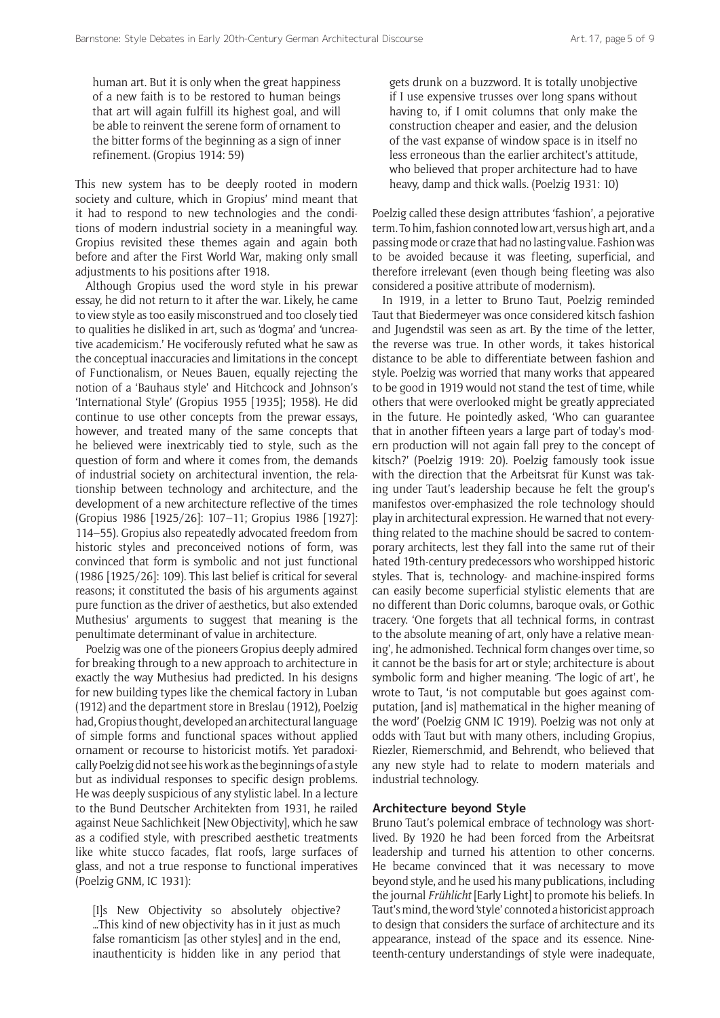human art. But it is only when the great happiness of a new faith is to be restored to human beings that art will again fulfill its highest goal, and will be able to reinvent the serene form of ornament to the bitter forms of the beginning as a sign of inner refinement. (Gropius 1914: 59)

This new system has to be deeply rooted in modern society and culture, which in Gropius' mind meant that it had to respond to new technologies and the conditions of modern industrial society in a meaningful way. Gropius revisited these themes again and again both before and after the First World War, making only small adjustments to his positions after 1918.

Although Gropius used the word style in his prewar essay, he did not return to it after the war. Likely, he came to view style as too easily misconstrued and too closely tied to qualities he disliked in art, such as 'dogma' and 'uncreative academicism.' He vociferously refuted what he saw as the conceptual inaccuracies and limitations in the concept of Functionalism, or Neues Bauen, equally rejecting the notion of a 'Bauhaus style' and Hitchcock and Johnson's 'International Style' (Gropius 1955 [1935]; 1958). He did continue to use other concepts from the prewar essays, however, and treated many of the same concepts that he believed were inextricably tied to style, such as the question of form and where it comes from, the demands of industrial society on architectural invention, the relationship between technology and architecture, and the development of a new architecture reflective of the times (Gropius 1986 [1925/26]: 107–11; Gropius 1986 [1927]: 114–55). Gropius also repeatedly advocated freedom from historic styles and preconceived notions of form, was convinced that form is symbolic and not just functional (1986 [1925/26]: 109). This last belief is critical for several reasons; it constituted the basis of his arguments against pure function as the driver of aesthetics, but also extended Muthesius' arguments to suggest that meaning is the penultimate determinant of value in architecture.

Poelzig was one of the pioneers Gropius deeply admired for breaking through to a new approach to architecture in exactly the way Muthesius had predicted. In his designs for new building types like the chemical factory in Luban (1912) and the department store in Breslau (1912), Poelzig had, Gropius thought, developed an architectural language of simple forms and functional spaces without applied ornament or recourse to historicist motifs. Yet paradoxically Poelzig did not see his work as the beginnings of a style but as individual responses to specific design problems. He was deeply suspicious of any stylistic label. In a lecture to the Bund Deutscher Architekten from 1931, he railed against Neue Sachlichkeit [New Objectivity], which he saw as a codified style, with prescribed aesthetic treatments like white stucco facades, flat roofs, large surfaces of glass, and not a true response to functional imperatives (Poelzig GNM, IC 1931):

[I]s New Objectivity so absolutely objective? …This kind of new objectivity has in it just as much false romanticism [as other styles] and in the end, inauthenticity is hidden like in any period that

gets drunk on a buzzword. It is totally unobjective if I use expensive trusses over long spans without having to, if I omit columns that only make the construction cheaper and easier, and the delusion of the vast expanse of window space is in itself no less erroneous than the earlier architect's attitude, who believed that proper architecture had to have heavy, damp and thick walls. (Poelzig 1931: 10)

Poelzig called these design attributes 'fashion', a pejorative term. To him, fashion connoted low art, versus high art, and a passing mode or craze that had no lasting value. Fashion was to be avoided because it was fleeting, superficial, and therefore irrelevant (even though being fleeting was also considered a positive attribute of modernism).

In 1919, in a letter to Bruno Taut, Poelzig reminded Taut that Biedermeyer was once considered kitsch fashion and Jugendstil was seen as art. By the time of the letter, the reverse was true. In other words, it takes historical distance to be able to differentiate between fashion and style. Poelzig was worried that many works that appeared to be good in 1919 would not stand the test of time, while others that were overlooked might be greatly appreciated in the future. He pointedly asked, 'Who can guarantee that in another fifteen years a large part of today's modern production will not again fall prey to the concept of kitsch?' (Poelzig 1919: 20). Poelzig famously took issue with the direction that the Arbeitsrat für Kunst was taking under Taut's leadership because he felt the group's manifestos over-emphasized the role technology should play in architectural expression. He warned that not everything related to the machine should be sacred to contemporary architects, lest they fall into the same rut of their hated 19th-century predecessors who worshipped historic styles. That is, technology- and machine-inspired forms can easily become superficial stylistic elements that are no different than Doric columns, baroque ovals, or Gothic tracery. 'One forgets that all technical forms, in contrast to the absolute meaning of art, only have a relative meaning', he admonished. Technical form changes over time, so it cannot be the basis for art or style; architecture is about symbolic form and higher meaning. 'The logic of art', he wrote to Taut, 'is not computable but goes against computation, [and is] mathematical in the higher meaning of the word' (Poelzig GNM IC 1919). Poelzig was not only at odds with Taut but with many others, including Gropius, Riezler, Riemerschmid, and Behrendt, who believed that any new style had to relate to modern materials and industrial technology.

## **Architecture beyond Style**

Bruno Taut's polemical embrace of technology was shortlived. By 1920 he had been forced from the Arbeitsrat leadership and turned his attention to other concerns. He became convinced that it was necessary to move beyond style, and he used his many publications, including the journal *Frühlicht* [Early Light] to promote his beliefs. In Taut's mind, the word 'style' connoted a historicist approach to design that considers the surface of architecture and its appearance, instead of the space and its essence. Nineteenth-century understandings of style were inadequate,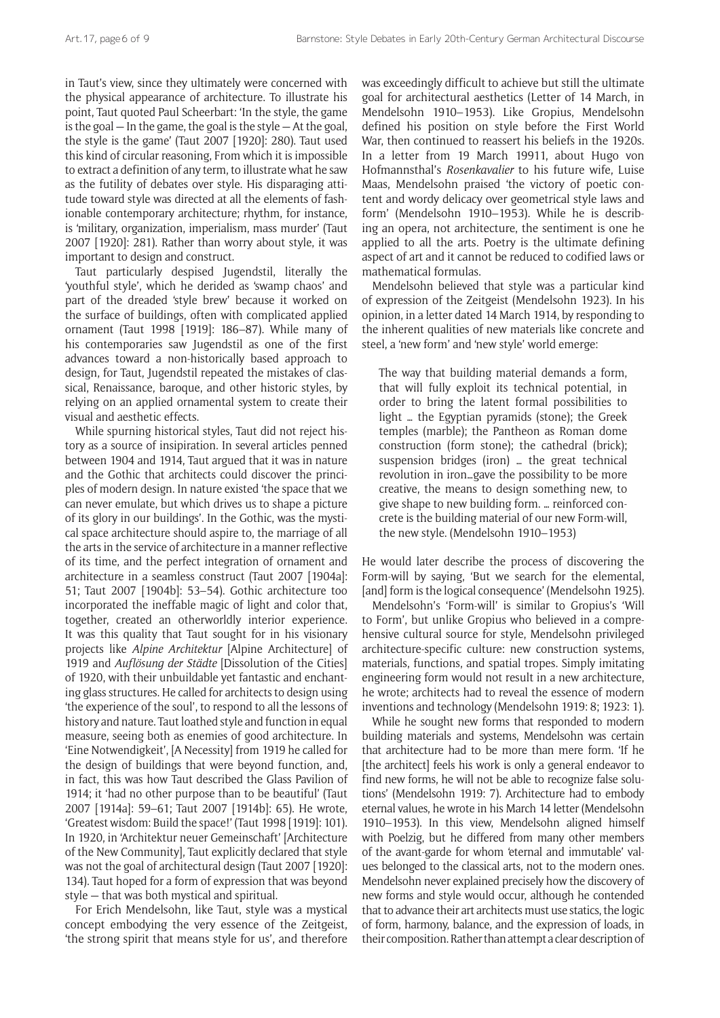in Taut's view, since they ultimately were concerned with the physical appearance of architecture. To illustrate his point, Taut quoted Paul Scheerbart: 'In the style, the game is the goal — In the game, the goal is the style — At the goal, the style is the game' (Taut 2007 [1920]: 280). Taut used this kind of circular reasoning, From which it is impossible to extract a definition of any term, to illustrate what he saw as the futility of debates over style. His disparaging attitude toward style was directed at all the elements of fashionable contemporary architecture; rhythm, for instance, is 'military, organization, imperialism, mass murder' (Taut 2007 [1920]: 281). Rather than worry about style, it was important to design and construct.

Taut particularly despised Jugendstil, literally the 'youthful style', which he derided as 'swamp chaos' and part of the dreaded 'style brew' because it worked on the surface of buildings, often with complicated applied ornament (Taut 1998 [1919]: 186–87). While many of his contemporaries saw Jugendstil as one of the first advances toward a non-historically based approach to design, for Taut, Jugendstil repeated the mistakes of classical, Renaissance, baroque, and other historic styles, by relying on an applied ornamental system to create their visual and aesthetic effects.

While spurning historical styles, Taut did not reject history as a source of insipiration. In several articles penned between 1904 and 1914, Taut argued that it was in nature and the Gothic that architects could discover the principles of modern design. In nature existed 'the space that we can never emulate, but which drives us to shape a picture of its glory in our buildings'. In the Gothic, was the mystical space architecture should aspire to, the marriage of all the arts in the service of architecture in a manner reflective of its time, and the perfect integration of ornament and architecture in a seamless construct (Taut 2007 [1904a]: 51; Taut 2007 [1904b]: 53–54). Gothic architecture too incorporated the ineffable magic of light and color that, together, created an otherworldly interior experience. It was this quality that Taut sought for in his visionary projects like *Alpine Architektur* [Alpine Architecture] of 1919 and *Auflösung der Städte* [Dissolution of the Cities] of 1920, with their unbuildable yet fantastic and enchanting glass structures. He called for architects to design using 'the experience of the soul', to respond to all the lessons of history and nature. Taut loathed style and function in equal measure, seeing both as enemies of good architecture. In 'Eine Notwendigkeit', [A Necessity] from 1919 he called for the design of buildings that were beyond function, and, in fact, this was how Taut described the Glass Pavilion of 1914; it 'had no other purpose than to be beautiful' (Taut 2007 [1914a]: 59–61; Taut 2007 [1914b]: 65). He wrote, 'Greatest wisdom: Build the space!' (Taut 1998 [1919]: 101). In 1920, in 'Architektur neuer Gemeinschaft' [Architecture of the New Community], Taut explicitly declared that style was not the goal of architectural design (Taut 2007 [1920]: 134). Taut hoped for a form of expression that was beyond style — that was both mystical and spiritual.

For Erich Mendelsohn, like Taut, style was a mystical concept embodying the very essence of the Zeitgeist, 'the strong spirit that means style for us', and therefore was exceedingly difficult to achieve but still the ultimate goal for architectural aesthetics (Letter of 14 March, in Mendelsohn 1910–1953). Like Gropius, Mendelsohn defined his position on style before the First World War, then continued to reassert his beliefs in the 1920s. In a letter from 19 March 19911, about Hugo von Hofmannsthal's *Rosenkavalier* to his future wife, Luise Maas, Mendelsohn praised 'the victory of poetic content and wordy delicacy over geometrical style laws and form' (Mendelsohn 1910–1953). While he is describing an opera, not architecture, the sentiment is one he applied to all the arts. Poetry is the ultimate defining aspect of art and it cannot be reduced to codified laws or mathematical formulas.

Mendelsohn believed that style was a particular kind of expression of the Zeitgeist (Mendelsohn 1923). In his opinion, in a letter dated 14 March 1914, by responding to the inherent qualities of new materials like concrete and steel, a 'new form' and 'new style' world emerge:

The way that building material demands a form, that will fully exploit its technical potential, in order to bring the latent formal possibilities to light … the Egyptian pyramids (stone); the Greek temples (marble); the Pantheon as Roman dome construction (form stone); the cathedral (brick); suspension bridges (iron) … the great technical revolution in iron…gave the possibility to be more creative, the means to design something new, to give shape to new building form. … reinforced concrete is the building material of our new Form-will, the new style. (Mendelsohn 1910–1953)

He would later describe the process of discovering the Form-will by saying, 'But we search for the elemental, [and] form is the logical consequence' (Mendelsohn 1925).

Mendelsohn's 'Form-will' is similar to Gropius's 'Will to Form', but unlike Gropius who believed in a comprehensive cultural source for style, Mendelsohn privileged architecture-specific culture: new construction systems, materials, functions, and spatial tropes. Simply imitating engineering form would not result in a new architecture, he wrote; architects had to reveal the essence of modern inventions and technology (Mendelsohn 1919: 8; 1923: 1).

While he sought new forms that responded to modern building materials and systems, Mendelsohn was certain that architecture had to be more than mere form. 'If he [the architect] feels his work is only a general endeavor to find new forms, he will not be able to recognize false solutions' (Mendelsohn 1919: 7). Architecture had to embody eternal values, he wrote in his March 14 letter (Mendelsohn 1910–1953). In this view, Mendelsohn aligned himself with Poelzig, but he differed from many other members of the avant-garde for whom 'eternal and immutable' values belonged to the classical arts, not to the modern ones. Mendelsohn never explained precisely how the discovery of new forms and style would occur, although he contended that to advance their art architects must use statics, the logic of form, harmony, balance, and the expression of loads, in their composition. Rather than attempt a clear description of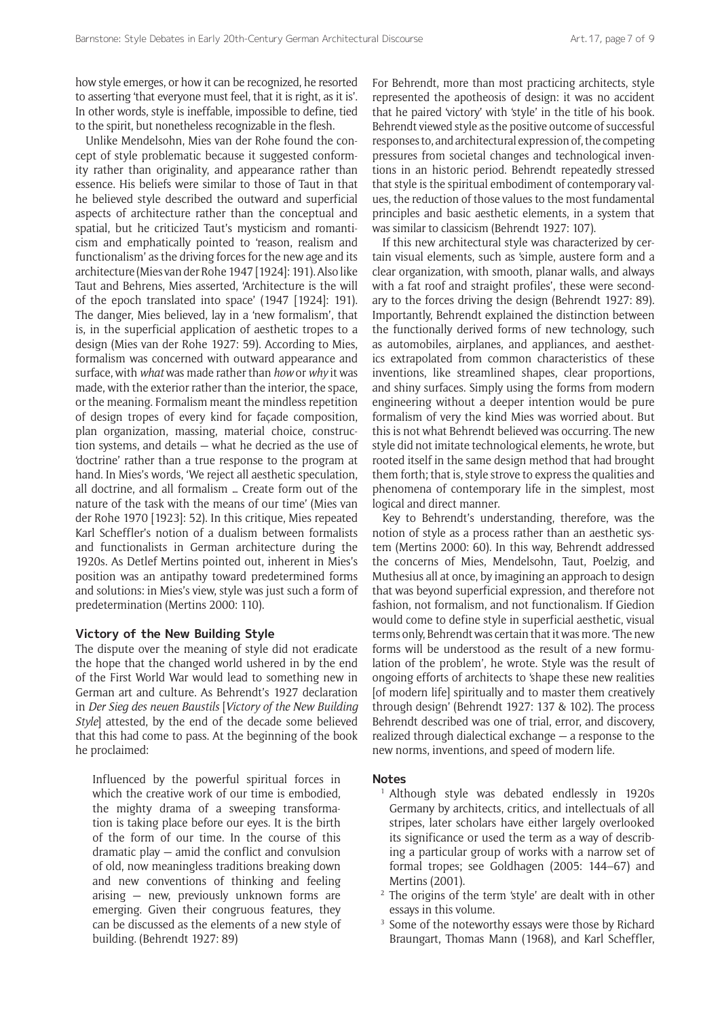how style emerges, or how it can be recognized, he resorted to asserting 'that everyone must feel, that it is right, as it is'. In other words, style is ineffable, impossible to define, tied to the spirit, but nonetheless recognizable in the flesh.

Unlike Mendelsohn, Mies van der Rohe found the concept of style problematic because it suggested conformity rather than originality, and appearance rather than essence. His beliefs were similar to those of Taut in that he believed style described the outward and superficial aspects of architecture rather than the conceptual and spatial, but he criticized Taut's mysticism and romanticism and emphatically pointed to 'reason, realism and functionalism' as the driving forces for the new age and its architecture (Mies van der Rohe 1947 [1924]: 191). Also like Taut and Behrens, Mies asserted, 'Architecture is the will of the epoch translated into space' (1947 [1924]: 191). The danger, Mies believed, lay in a 'new formalism', that is, in the superficial application of aesthetic tropes to a design (Mies van der Rohe 1927: 59). According to Mies, formalism was concerned with outward appearance and surface, with *what* was made rather than *how* or *why* it was made, with the exterior rather than the interior, the space, or the meaning. Formalism meant the mindless repetition of design tropes of every kind for façade composition, plan organization, massing, material choice, construction systems, and details — what he decried as the use of 'doctrine' rather than a true response to the program at hand. In Mies's words, 'We reject all aesthetic speculation, all doctrine, and all formalism … Create form out of the nature of the task with the means of our time' (Mies van der Rohe 1970 [1923]: 52). In this critique, Mies repeated Karl Scheffler's notion of a dualism between formalists and functionalists in German architecture during the 1920s. As Detlef Mertins pointed out, inherent in Mies's position was an antipathy toward predetermined forms and solutions: in Mies's view, style was just such a form of predetermination (Mertins 2000: 110).

## **Victory of the New Building Style**

The dispute over the meaning of style did not eradicate the hope that the changed world ushered in by the end of the First World War would lead to something new in German art and culture. As Behrendt's 1927 declaration in *Der Sieg des neuen Baustils* [*Victory of the New Building Style*] attested, by the end of the decade some believed that this had come to pass. At the beginning of the book he proclaimed:

Influenced by the powerful spiritual forces in which the creative work of our time is embodied. the mighty drama of a sweeping transformation is taking place before our eyes. It is the birth of the form of our time. In the course of this dramatic play — amid the conflict and convulsion of old, now meaningless traditions breaking down and new conventions of thinking and feeling arising — new, previously unknown forms are emerging. Given their congruous features, they can be discussed as the elements of a new style of building. (Behrendt 1927: 89)

For Behrendt, more than most practicing architects, style represented the apotheosis of design: it was no accident that he paired 'victory' with 'style' in the title of his book. Behrendt viewed style as the positive outcome of successful responses to, and architectural expression of, the competing pressures from societal changes and technological inventions in an historic period. Behrendt repeatedly stressed that style is the spiritual embodiment of contemporary values, the reduction of those values to the most fundamental principles and basic aesthetic elements, in a system that was similar to classicism (Behrendt 1927: 107).

If this new architectural style was characterized by certain visual elements, such as 'simple, austere form and a clear organization, with smooth, planar walls, and always with a fat roof and straight profiles', these were secondary to the forces driving the design (Behrendt 1927: 89). Importantly, Behrendt explained the distinction between the functionally derived forms of new technology, such as automobiles, airplanes, and appliances, and aesthetics extrapolated from common characteristics of these inventions, like streamlined shapes, clear proportions, and shiny surfaces. Simply using the forms from modern engineering without a deeper intention would be pure formalism of very the kind Mies was worried about. But this is not what Behrendt believed was occurring. The new style did not imitate technological elements, he wrote, but rooted itself in the same design method that had brought them forth; that is, style strove to express the qualities and phenomena of contemporary life in the simplest, most logical and direct manner.

Key to Behrendt's understanding, therefore, was the notion of style as a process rather than an aesthetic system (Mertins 2000: 60). In this way, Behrendt addressed the concerns of Mies, Mendelsohn, Taut, Poelzig, and Muthesius all at once, by imagining an approach to design that was beyond superficial expression, and therefore not fashion, not formalism, and not functionalism. If Giedion would come to define style in superficial aesthetic, visual terms only, Behrendt was certain that it was more. 'The new forms will be understood as the result of a new formulation of the problem', he wrote. Style was the result of ongoing efforts of architects to 'shape these new realities [of modern life] spiritually and to master them creatively through design' (Behrendt 1927: 137 & 102). The process Behrendt described was one of trial, error, and discovery, realized through dialectical exchange — a response to the new norms, inventions, and speed of modern life.

#### **Notes**

- <sup>1</sup> Although style was debated endlessly in 1920s Germany by architects, critics, and intellectuals of all stripes, later scholars have either largely overlooked its significance or used the term as a way of describing a particular group of works with a narrow set of formal tropes; see Goldhagen (2005: 144–67) and Mertins (2001).
- <sup>2</sup> The origins of the term 'style' are dealt with in other essays in this volume.
- <sup>3</sup> Some of the noteworthy essays were those by Richard Braungart, Thomas Mann (1968), and Karl Scheffler,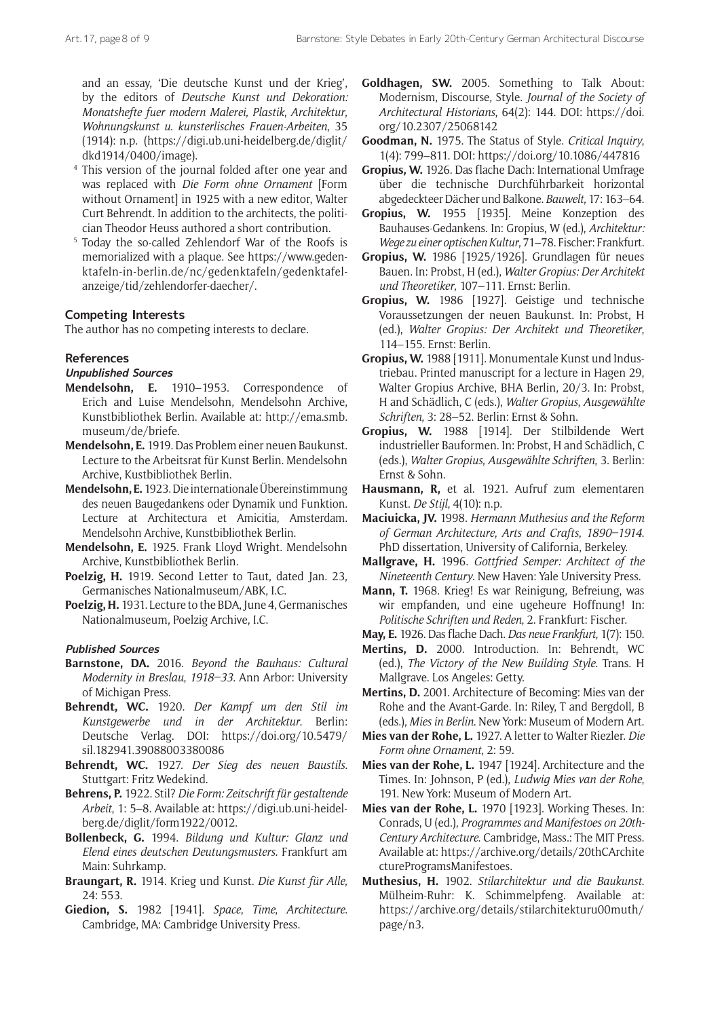and an essay, 'Die deutsche Kunst und der Krieg', by the editors of *Deutsche Kunst und Dekoration: Monatshefte fuer modern Malerei*, *Plastik*, *Architektur*, *Wohnungskunst u*. *kunsterlisches Frauen-Arbeiten*, 35 (1914): n.p. ([https://digi.ub.uni-heidelberg.de/diglit/](https://digi.ub.uni-heidelberg.de/diglit/dkd1914/0400/image) [dkd1914/0400/image](https://digi.ub.uni-heidelberg.de/diglit/dkd1914/0400/image)).

- <sup>4</sup> This version of the journal folded after one year and was replaced with *Die Form ohne Ornament* [Form without Ornament] in 1925 with a new editor, Walter Curt Behrendt. In addition to the architects, the politician Theodor Heuss authored a short contribution.
- <sup>5</sup> Today the so-called Zehlendorf War of the Roofs is memorialized with a plaque. See [https://www.geden](https://www.gedenktafeln-in-berlin.de/nc/gedenktafeln/gedenktafel-anzeige/tid/zehlendorfer-daecher/)[ktafeln-in-berlin.de/nc/gedenktafeln/gedenktafel](https://www.gedenktafeln-in-berlin.de/nc/gedenktafeln/gedenktafel-anzeige/tid/zehlendorfer-daecher/)[anzeige/tid/zehlendorfer-daecher/](https://www.gedenktafeln-in-berlin.de/nc/gedenktafeln/gedenktafel-anzeige/tid/zehlendorfer-daecher/).

## **Competing Interests**

The author has no competing interests to declare.

### **References**

## **Unpublished Sources**

- **Mendelsohn, E.** 1910–1953. Correspondence of Erich and Luise Mendelsohn, Mendelsohn Archive, Kunstbibliothek Berlin. Available at: [http://ema.smb.](http://ema.smb.museum/de/briefe) [museum/de/briefe](http://ema.smb.museum/de/briefe).
- **Mendelsohn, E.** 1919. Das Problem einer neuen Baukunst. Lecture to the Arbeitsrat für Kunst Berlin. Mendelsohn Archive, Kustbibliothek Berlin.
- **Mendelsohn, E.** 1923. Die internationale Übereinstimmung des neuen Baugedankens oder Dynamik und Funktion. Lecture at Architectura et Amicitia, Amsterdam. Mendelsohn Archive, Kunstbibliothek Berlin.
- **Mendelsohn, E.** 1925. Frank Lloyd Wright. Mendelsohn Archive, Kunstbibliothek Berlin.
- **Poelzig, H.** 1919. Second Letter to Taut, dated Jan. 23, Germanisches Nationalmuseum/ABK, I.C.
- **Poelzig, H.** 1931. Lecture to the BDA, June 4, Germanisches Nationalmuseum, Poelzig Archive, I.C.

## **Published Sources**

- **Barnstone, DA.** 2016. *Beyond the Bauhaus: Cultural Modernity in Breslau*, *1918–33*. Ann Arbor: University of Michigan Press.
- **Behrendt, WC.** 1920. *Der Kampf um den Stil im Kunstgewerbe und in der Architektur*. Berlin: Deutsche Verlag. DOI: [https://doi.org/10.5479/](https://doi.org/10.5479/sil.182941.39088003380086) [sil.182941.39088003380086](https://doi.org/10.5479/sil.182941.39088003380086)
- **Behrendt, WC.** 1927. *Der Sieg des neuen Baustils*. Stuttgart: Fritz Wedekind.
- **Behrens, P.** 1922. Stil? *Die Form: Zeitschrift für gestaltende Arbeit*, 1: 5–8. Available at: [https://digi.ub.uni-heidel](https://digi.ub.uni-heidelberg.de/diglit/form1922/0012)[berg.de/diglit/form1922/0012](https://digi.ub.uni-heidelberg.de/diglit/form1922/0012).
- **Bollenbeck, G.** 1994. *Bildung und Kultur: Glanz und Elend eines deutschen Deutungsmusters*. Frankfurt am Main: Suhrkamp.
- **Braungart, R.** 1914. Krieg und Kunst. *Die Kunst für Alle*, 24: 553.
- **Giedion, S.** 1982 [1941]. *Space*, *Time*, *Architecture*. Cambridge, MA: Cambridge University Press.
- **Goldhagen, SW.** 2005. Something to Talk About: Modernism, Discourse, Style. *Journal of the Society of Architectural Historians*, 64(2): 144. DOI: [https://doi.](https://doi.org/10.2307/25068142) [org/10.2307/25068142](https://doi.org/10.2307/25068142)
- **Goodman, N.** 1975. The Status of Style. *Critical Inquiry*, 1(4): 799–811. DOI:<https://doi.org/10.1086/447816>
- **Gropius, W.** 1926. Das flache Dach: International Umfrage über die technische Durchführbarkeit horizontal abgedeckteer Dächer und Balkone. *Bauwelt*, 17: 163–64.
- **Gropius, W.** 1955 [1935]. Meine Konzeption des Bauhauses-Gedankens. In: Gropius, W (ed.), *Architektur: Wege zu einer optischen Kultur*, 71–78. Fischer: Frankfurt.
- **Gropius, W.** 1986 [1925/1926]. Grundlagen für neues Bauen. In: Probst, H (ed.), *Walter Gropius: Der Architekt und Theoretiker*, 107–111. Ernst: Berlin.
- **Gropius, W.** 1986 [1927]. Geistige und technische Voraussetzungen der neuen Baukunst. In: Probst, H (ed.), *Walter Gropius: Der Architekt und Theoretiker*, 114–155. Ernst: Berlin.
- **Gropius, W.** 1988 [1911]. Monumentale Kunst und Industriebau. Printed manuscript for a lecture in Hagen 29, Walter Gropius Archive, BHA Berlin, 20/3. In: Probst, H and Schädlich, C (eds.), *Walter Gropius*, *Ausgewählte Schriften*, 3: 28–52. Berlin: Ernst & Sohn.
- **Gropius, W.** 1988 [1914]. Der Stilbildende Wert industrieller Bauformen. In: Probst, H and Schädlich, C (eds.), *Walter Gropius*, *Ausgewählte Schriften*, 3. Berlin: Ernst & Sohn.
- **Hausmann, R,** et al. 1921. Aufruf zum elementaren Kunst. *De Stijl*, 4(10): n.p.
- **Maciuicka, JV.** 1998. *Hermann Muthesius and the Reform of German Architecture*, *Arts and Crafts*, *1890–1914*. PhD dissertation, University of California, Berkeley.
- **Mallgrave, H.** 1996. *Gottfried Semper: Architect of the Nineteenth Century*. New Haven: Yale University Press.
- **Mann, T.** 1968. Krieg! Es war Reinigung, Befreiung, was wir empfanden, und eine ugeheure Hoffnung! In: *Politische Schriften und Reden*, 2. Frankfurt: Fischer.

- **Mertins, D.** 2000. Introduction. In: Behrendt, WC (ed.), *The Victory of the New Building Style*. Trans. H Mallgrave. Los Angeles: Getty.
- **Mertins, D.** 2001. Architecture of Becoming: Mies van der Rohe and the Avant-Garde. In: Riley, T and Bergdoll, B (eds.), *Mies in Berlin*. New York: Museum of Modern Art.
- **Mies van der Rohe, L.** 1927. A letter to Walter Riezler. *Die Form ohne Ornament*, 2: 59.
- **Mies van der Rohe, L.** 1947 [1924]. Architecture and the Times. In: Johnson, P (ed.), *Ludwig Mies van der Rohe*, 191. New York: Museum of Modern Art.
- **Mies van der Rohe, L.** 1970 [1923]. Working Theses. In: Conrads, U (ed.), *Programmes and Manifestoes on 20th-Century Architecture*. Cambridge, Mass.: The MIT Press. Available at: [https://archive.org/details/20thCArchite](https://archive.org/details/20thCArchitectureProgramsManifestoes) [ctureProgramsManifestoes.](https://archive.org/details/20thCArchitectureProgramsManifestoes)
- **Muthesius, H.** 1902. *Stilarchitektur und die Baukunst*. Mülheim-Ruhr: K. Schimmelpfeng. Available at: [https://archive.org/details/stilarchitekturu00muth/](https://archive.org/details/stilarchitekturu00muth/page/n3) [page/n3](https://archive.org/details/stilarchitekturu00muth/page/n3).

**May, E.** 1926. Das flache Dach. *Das neue Frankfurt*, 1(7): 150.